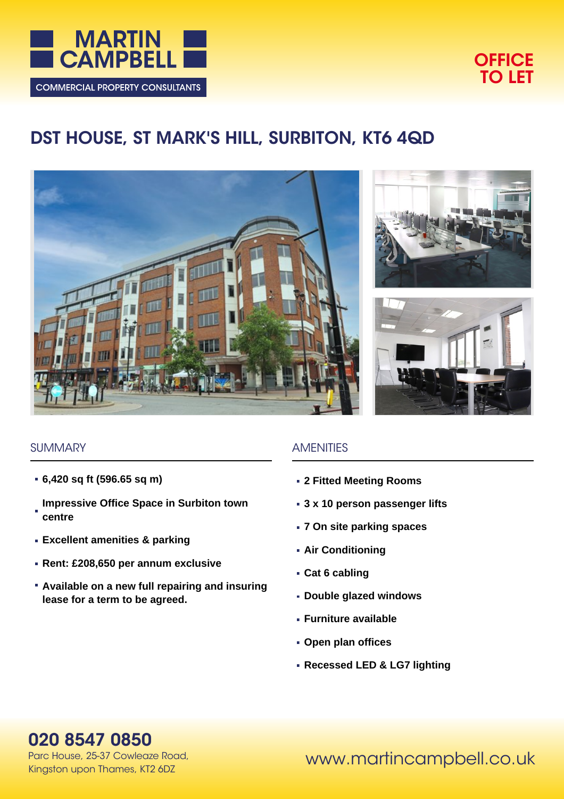



# **DST HOUSE, ST MARK'S HILL, SURBITON, KT6 4QD**







#### **SUMMARY**

- **6,420 sq ft (596.65 sq m)**
- **Impressive Office Space in Surbiton town centre**
- **Excellent amenities & parking**
- **Rent: £208,650 per annum exclusive**
- **Available on a new full repairing and insuring lease for a term to be agreed.**

#### **AMENITIES**

- **2 Fitted Meeting Rooms**
- **3 x 10 person passenger lifts**
- **7 On site parking spaces**
- **Air Conditioning**
- **Cat 6 cabling**
- **Double glazed windows**
- **Furniture available**
- **Open plan offices**
- **Recessed LED & LG7 lighting**

## **020 8547 0850**

Parc House, 25-37 Cowleaze Road, Kingston upon Thames, KT2 6DZ

www.martincampbell.co.uk